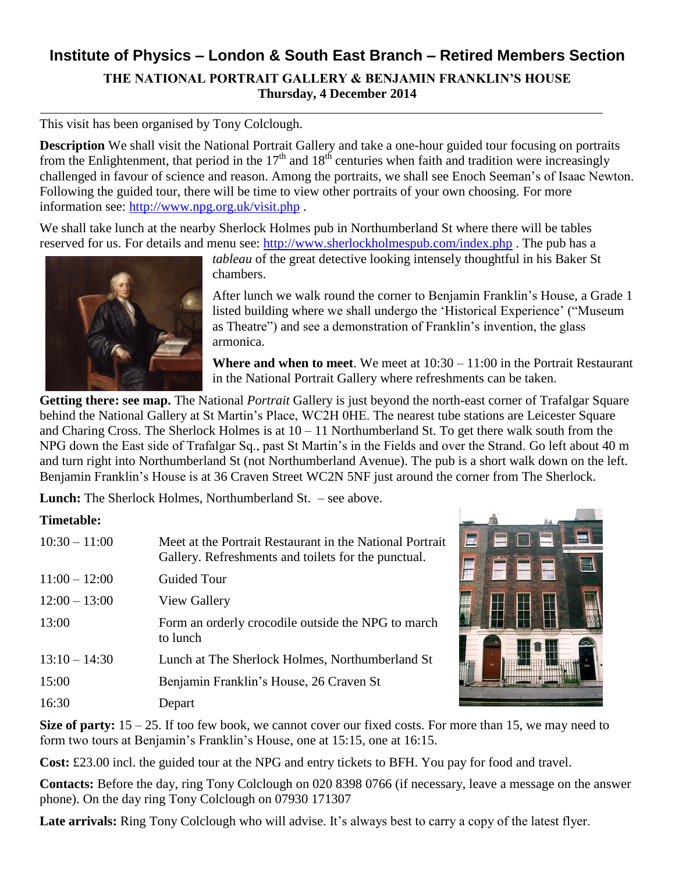## **Institute of Physics – London & South East Branch – Retired Members Section THE NATIONAL PORTRAIT GALLERY & BENJAMIN FRANKLIN'S HOUSE Thursday, 4 December 2014**

This visit has been organised by Tony Colclough.

**Description** We shall visit the National Portrait Gallery and take a one-hour guided tour focusing on portraits from the Enlightenment, that period in the  $17<sup>th</sup>$  and  $18<sup>th</sup>$  centuries when faith and tradition were increasingly challenged in favour of science and reason. Among the portraits, we shall see Enoch Seeman's of Isaac Newton. Following the guided tour, there will be time to view other portraits of your own choosing. For more information see:<http://www.npg.org.uk/visit.php> .

We shall take lunch at the nearby Sherlock Holmes pub in Northumberland St where there will be tables reserved for us. For details and menu see:<http://www.sherlockholmespub.com/index.php> . The pub has a



*tableau* of the great detective looking intensely thoughtful in his Baker St chambers.

After lunch we walk round the corner to Benjamin Franklin's House, a Grade 1 listed building where we shall undergo the 'Historical Experience' ("Museum as Theatre") and see a demonstration of Franklin's invention, the glass armonica.

**Where and when to meet**. We meet at 10:30 – 11:00 in the Portrait Restaurant in the National Portrait Gallery where refreshments can be taken.

**Getting there: see map.** The National *Portrait* Gallery is just beyond the north-east corner of Trafalgar Square behind the National Gallery at St Martin's Place, WC2H 0HE. The nearest tube stations are Leicester Square and Charing Cross. The Sherlock Holmes is at  $10 - 11$  Northumberland St. To get there walk south from the NPG down the East side of Trafalgar Sq., past St Martin's in the Fields and over the Strand. Go left about 40 m and turn right into Northumberland St (not Northumberland Avenue). The pub is a short walk down on the left. Benjamin Franklin's House is at 36 Craven Street WC2N 5NF just around the corner from The Sherlock.

**Lunch:** The Sherlock Holmes, Northumberland St. – see above.

## **Timetable:**

| $10:30 - 11:00$ | Meet at the Portrait Restaurant in the National Portrait<br>Gallery. Refreshments and toilets for the punctual. |
|-----------------|-----------------------------------------------------------------------------------------------------------------|
| $11:00 - 12:00$ | <b>Guided Tour</b>                                                                                              |
| $12:00 - 13:00$ | View Gallery                                                                                                    |
| 13:00           | Form an orderly crocodile outside the NPG to march<br>to lunch                                                  |
| $13:10 - 14:30$ | Lunch at The Sherlock Holmes, Northumberland St                                                                 |
| 15:00           | Benjamin Franklin's House, 26 Craven St                                                                         |
| 16:30           | Depart                                                                                                          |



**Size of party:**  $15 - 25$ . If too few book, we cannot cover our fixed costs. For more than 15, we may need to form two tours at Benjamin's Franklin's House, one at 15:15, one at 16:15.

**Cost:** £23.00 incl. the guided tour at the NPG and entry tickets to BFH. You pay for food and travel.

**Contacts:** Before the day, ring Tony Colclough on 020 8398 0766 (if necessary, leave a message on the answer phone). On the day ring Tony Colclough on 07930 171307

Late arrivals: Ring Tony Colclough who will advise. It's always best to carry a copy of the latest flyer.